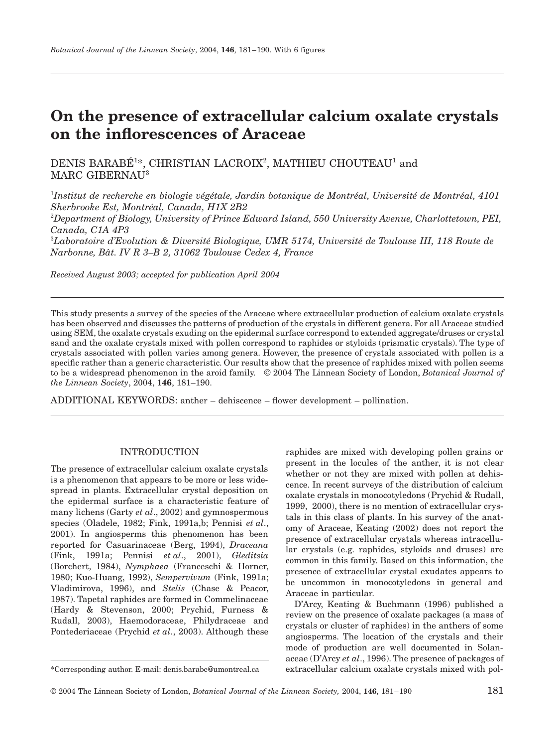# **On the presence of extracellular calcium oxalate crystals on the inflorescences of Araceae**

DENIS BARABÉ<sup>1\*</sup>, CHRISTIAN LACROIX<sup>2</sup>, MATHIEU CHOUTEAU<sup>1</sup> and MARC GIBERNAU3

1 *Institut de recherche en biologie végétale, Jardin botanique de Montréal, Université de Montréal, 4101 Sherbrooke Est, Montréal, Canada, H1X 2B2*

2 *Department of Biology, University of Prince Edward Island, 550 University Avenue, Charlottetown, PEI, Canada, C1A 4P3*

3 *Laboratoire d'Evolution & Diversité Biologique, UMR 5174, Université de Toulouse III, 118 Route de Narbonne, Bât. IV R 3–B 2, 31062 Toulouse Cedex 4, France*

*Received August 2003; accepted for publication April 2004*

This study presents a survey of the species of the Araceae where extracellular production of calcium oxalate crystals has been observed and discusses the patterns of production of the crystals in different genera. For all Araceae studied using SEM, the oxalate crystals exuding on the epidermal surface correspond to extended aggregate/druses or crystal sand and the oxalate crystals mixed with pollen correspond to raphides or styloids (prismatic crystals). The type of crystals associated with pollen varies among genera. However, the presence of crystals associated with pollen is a specific rather than a generic characteristic. Our results show that the presence of raphides mixed with pollen seems to be a widespread phenomenon in the aroid family. © 2004 The Linnean Society of London, *Botanical Journal of the Linnean Society*, 2004, **146**, 181–190.

ADDITIONAL KEYWORDS: anther – dehiscence – flower development – pollination.

## INTRODUCTION

The presence of extracellular calcium oxalate crystals is a phenomenon that appears to be more or less widespread in plants. Extracellular crystal deposition on the epidermal surface is a characteristic feature of many lichens (Garty *et al*., 2002) and gymnospermous species (Oladele, 1982; Fink, 1991a,b; Pennisi *et al*., 2001). In angiosperms this phenomenon has been reported for Casuarinaceae (Berg, 1994), *Draceana* (Fink, 1991a; Pennisi *et al*., 2001), *Gleditsia* (Borchert, 1984), *Nymphaea* (Franceschi & Horner, 1980; Kuo-Huang, 1992), *Sempervivum* (Fink, 1991a; Vladimirova, 1996), and *Stelis* (Chase & Peacor, 1987). Tapetal raphides are formed in Commelinaceae (Hardy & Stevenson, 2000; Prychid, Furness & Rudall, 2003), Haemodoraceae, Philydraceae and Pontederiaceae (Prychid *et al*., 2003). Although these

\*Corresponding author. E-mail: denis.barabe@umontreal.ca

raphides are mixed with developing pollen grains or present in the locules of the anther, it is not clear whether or not they are mixed with pollen at dehiscence. In recent surveys of the distribution of calcium oxalate crystals in monocotyledons (Prychid & Rudall, 1999, 2000), there is no mention of extracellular crystals in this class of plants. In his survey of the anatomy of Araceae, Keating (2002) does not report the presence of extracellular crystals whereas intracellular crystals (e.g. raphides, styloids and druses) are common in this family. Based on this information, the presence of extracellular crystal exudates appears to be uncommon in monocotyledons in general and Araceae in particular.

D'Arcy, Keating & Buchmann (1996) published a review on the presence of oxalate packages (a mass of crystals or cluster of raphides) in the anthers of some angiosperms. The location of the crystals and their mode of production are well documented in Solanaceae (D'Arcy *et al*., 1996). The presence of packages of extracellular calcium oxalate crystals mixed with pol-

<sup>© 2004</sup> The Linnean Society of London, *Botanical Journal of the Linnean Society,* 2004, **146**, 181–190 181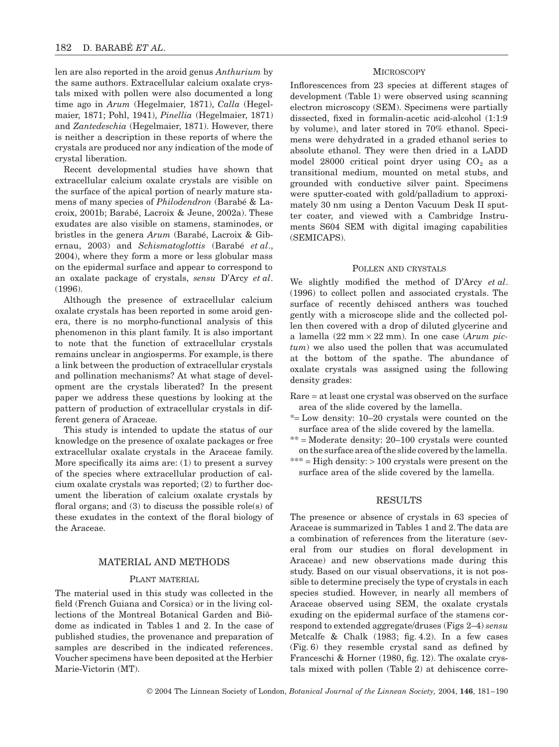len are also reported in the aroid genus *Anthurium* by the same authors. Extracellular calcium oxalate crystals mixed with pollen were also documented a long time ago in *Arum* (Hegelmaier, 1871), *Calla* (Hegelmaier, 1871; Pohl, 1941), *Pinellia* (Hegelmaier, 1871) and *Zantedeschia* (Hegelmaier, 1871). However, there is neither a description in these reports of where the crystals are produced nor any indication of the mode of crystal liberation.

Recent developmental studies have shown that extracellular calcium oxalate crystals are visible on the surface of the apical portion of nearly mature stamens of many species of *Philodendron* (Barabé & Lacroix, 2001b; Barabé, Lacroix & Jeune, 2002a). These exudates are also visible on stamens, staminodes, or bristles in the genera *Arum* (Barabé, Lacroix & Gibernau, 2003) and *Schismatoglottis* (Barabé *et al*., 2004), where they form a more or less globular mass on the epidermal surface and appear to correspond to an oxalate package of crystals, *sensu* D'Arcy *et al*. (1996).

Although the presence of extracellular calcium oxalate crystals has been reported in some aroid genera, there is no morpho-functional analysis of this phenomenon in this plant family. It is also important to note that the function of extracellular crystals remains unclear in angiosperms. For example, is there a link between the production of extracellular crystals and pollination mechanisms? At what stage of development are the crystals liberated? In the present paper we address these questions by looking at the pattern of production of extracellular crystals in different genera of Araceae.

This study is intended to update the status of our knowledge on the presence of oxalate packages or free extracellular oxalate crystals in the Araceae family. More specifically its aims are: (1) to present a survey of the species where extracellular production of calcium oxalate crystals was reported; (2) to further document the liberation of calcium oxalate crystals by floral organs; and  $(3)$  to discuss the possible role(s) of these exudates in the context of the floral biology of the Araceae.

## MATERIAL AND METHODS

#### PLANT MATERIAL

The material used in this study was collected in the field (French Guiana and Corsica) or in the living collections of the Montreal Botanical Garden and Biôdome as indicated in Tables 1 and 2. In the case of published studies, the provenance and preparation of samples are described in the indicated references. Voucher specimens have been deposited at the Herbier Marie-Victorin (MT).

#### **MICROSCOPY**

Inflorescences from 23 species at different stages of development (Table 1) were observed using scanning electron microscopy (SEM). Specimens were partially dissected, fixed in formalin-acetic acid-alcohol (1:1:9 by volume), and later stored in 70% ethanol. Specimens were dehydrated in a graded ethanol series to absolute ethanol. They were then dried in a LADD model 28000 critical point dryer using  $CO<sub>2</sub>$  as a transitional medium, mounted on metal stubs, and grounded with conductive silver paint. Specimens were sputter-coated with gold/palladium to approximately 30 nm using a Denton Vacuum Desk II sputter coater, and viewed with a Cambridge Instruments S604 SEM with digital imaging capabilities (SEMICAPS).

#### POLLEN AND CRYSTALS

We slightly modified the method of D'Arcy *et al*. (1996) to collect pollen and associated crystals. The surface of recently dehisced anthers was touched gently with a microscope slide and the collected pollen then covered with a drop of diluted glycerine and a lamella  $(22 \text{ mm} \times 22 \text{ mm})$ . In one case  $(Arum~pic$ *tum*) we also used the pollen that was accumulated at the bottom of the spathe. The abundance of oxalate crystals was assigned using the following density grades:

- Rare = at least one crystal was observed on the surface area of the slide covered by the lamella.
- \*= Low density: 10–20 crystals were counted on the surface area of the slide covered by the lamella.
- $** =$  Moderate density: 20-100 crystals were counted on the surface area of the slide covered by the lamella.
- \*\*\* = High density: > 100 crystals were present on the surface area of the slide covered by the lamella.

## RESULTS

The presence or absence of crystals in 63 species of Araceae is summarized in Tables 1 and 2. The data are a combination of references from the literature (several from our studies on floral development in Araceae) and new observations made during this study. Based on our visual observations, it is not possible to determine precisely the type of crystals in each species studied. However, in nearly all members of Araceae observed using SEM, the oxalate crystals exuding on the epidermal surface of the stamens correspond to extended aggregate/druses (Figs 2–4) *sensu* Metcalfe & Chalk (1983; fig. 4.2). In a few cases (Fig. 6) they resemble crystal sand as defined by Franceschi & Horner (1980, fig. 12). The oxalate crystals mixed with pollen (Table 2) at dehiscence corre-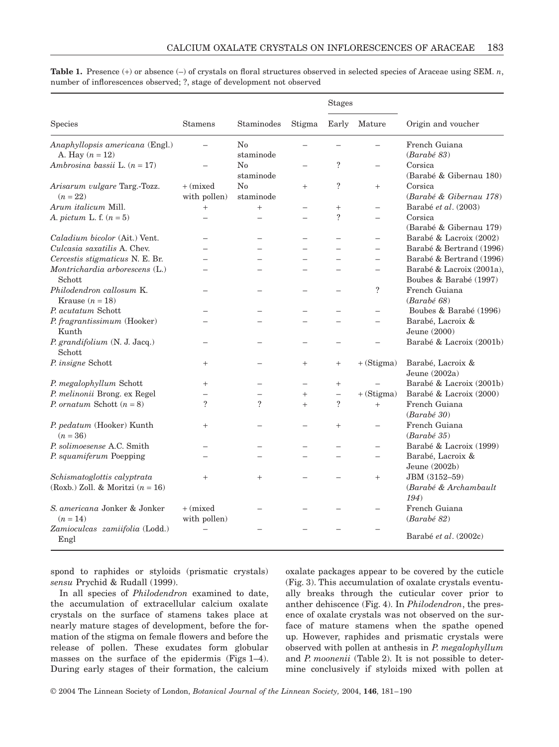|                                         |                |                          |        | <b>Stages</b>            |                          |                               |
|-----------------------------------------|----------------|--------------------------|--------|--------------------------|--------------------------|-------------------------------|
| Species                                 | <b>Stamens</b> | Staminodes               | Stigma | Early                    | Mature                   | Origin and voucher            |
| Anaphyllopsis americana (Engl.)         |                | No                       |        |                          |                          | French Guiana                 |
| A. Hay $(n = 12)$                       |                | staminode                |        |                          |                          | $(Barab\acute{e} 83)$         |
| Ambrosina bassii L. $(n = 17)$          |                | $\rm No$                 |        | $\overline{\cdot}$       |                          | Corsica                       |
|                                         |                | staminode                |        |                          |                          | (Barabé & Gibernau 180)       |
| Arisarum vulgare Targ.-Tozz.            | $+$ (mixed     | $\rm No$                 | $^{+}$ | $\overline{\cdot}$       | $^{+}$                   | Corsica                       |
| $(n = 22)$                              | with pollen)   | staminode                |        |                          |                          | (Barabé & Gibernau 178)       |
| Arum italicum Mill.                     | $^{+}$         | $^{+}$                   |        | $^{+}$                   |                          | Barabé et al. (2003)          |
| A. pictum L. f. $(n = 5)$               |                |                          |        | $\overline{?}$           |                          | Corsica                       |
|                                         |                |                          |        |                          |                          | (Barabé & Gibernau 179)       |
| Caladium bicolor (Ait.) Vent.           |                |                          |        |                          | $\overline{\phantom{0}}$ | Barabé & Lacroix (2002)       |
| Culcasia saxatilis A. Chev.             |                |                          |        |                          | $\overline{\phantom{0}}$ | Barabé & Bertrand (1996)      |
| Cercestis stigmaticus N. E. Br.         |                |                          |        |                          |                          | Barabé & Bertrand (1996)      |
| Montrichardia arborescens (L.)          |                |                          |        |                          |                          | Barabé & Lacroix (2001a),     |
| Schott                                  |                |                          |        |                          |                          | Boubes & Barabé (1997)        |
| Philodendron callosum K.                |                |                          |        |                          | $\overline{\cdot}$       | French Guiana                 |
| Krause $(n = 18)$                       |                |                          |        |                          |                          | $(Barab\acute{e} 68)$         |
| P. acutatum Schott                      |                |                          |        |                          |                          | Boubes & Barabé (1996)        |
| P. fragrantissimum (Hooker)             |                |                          |        |                          | $\overline{\phantom{0}}$ | Barabé, Lacroix &             |
| Kunth                                   |                |                          |        |                          |                          | Jeune (2000)                  |
| P. grandifolium (N. J. Jacq.)<br>Schott |                |                          |        |                          |                          | Barabé & Lacroix (2001b)      |
| P. insigne Schott                       | $^{+}$         |                          | $^{+}$ | $^{+}$                   | $+$ (Stigma)             | Barabé, Lacroix &             |
|                                         |                |                          |        |                          |                          | Jeune (2002a)                 |
| P. megalophyllum Schott                 | $^{+}$         |                          |        | $^{+}$                   |                          | Barabé & Lacroix (2001b)      |
| P. melinonii Brong. ex Regel            |                |                          | $^{+}$ | $\overline{\phantom{0}}$ | $+$ (Stigma)             | Barabé & Lacroix (2000)       |
| <i>P. ornatum</i> Schott $(n = 8)$      | $\gamma$       | $\overline{\mathcal{L}}$ | $^{+}$ | $\overline{?}$           | $^{+}$                   | French Guiana                 |
|                                         |                |                          |        |                          |                          | $(Barab\acute{e}30)$          |
| P. pedatum (Hooker) Kunth               | $^{+}$         |                          |        | $^{+}$                   |                          | French Guiana                 |
| $(n = 36)$                              |                |                          |        |                          |                          | $(Barab\acute{e} 35)$         |
| P. solimoesense A.C. Smith              |                |                          |        |                          | $\equiv$                 | Barabé & Lacroix (1999)       |
| P. squamiferum Poepping                 |                |                          |        |                          | $\overline{\phantom{0}}$ | Barabé, Lacroix &             |
|                                         |                |                          |        |                          |                          | Jeune (2002b)                 |
| Schismatoglottis calyptrata             | $+$            | $^{+}$                   |        |                          | $^{+}$                   | JBM (3152-59)                 |
| (Roxb.) Zoll. & Moritzi $(n = 16)$      |                |                          |        |                          |                          | (Barabé & Archambault<br>194) |
| S. americana Jonker & Jonker            | $+$ (mixed     |                          |        |                          |                          | French Guiana                 |
| $(n = 14)$                              |                |                          |        |                          |                          | (Barabé 82)                   |
| Zamioculcas zamiifolia (Lodd.)          | with pollen)   |                          |        |                          |                          |                               |
| Engl                                    |                |                          |        |                          |                          | Barabé et al. (2002c)         |

**Table 1.** Presence (+) or absence (–) of crystals on floral structures observed in selected species of Araceae using SEM. *n*, number of inflorescences observed; ?, stage of development not observed

spond to raphides or styloids (prismatic crystals) *sensu* Prychid & Rudall (1999).

In all species of *Philodendron* examined to date, the accumulation of extracellular calcium oxalate crystals on the surface of stamens takes place at nearly mature stages of development, before the formation of the stigma on female flowers and before the release of pollen. These exudates form globular masses on the surface of the epidermis (Figs 1–4). During early stages of their formation, the calcium

oxalate packages appear to be covered by the cuticle (Fig. 3). This accumulation of oxalate crystals eventually breaks through the cuticular cover prior to anther dehiscence (Fig. 4). In *Philodendron*, the presence of oxalate crystals was not observed on the surface of mature stamens when the spathe opened up. However, raphides and prismatic crystals were observed with pollen at anthesis in *P. megalophyllum* and *P. moonenii* (Table 2). It is not possible to determine conclusively if styloids mixed with pollen at

© 2004 The Linnean Society of London, *Botanical Journal of the Linnean Society,* 2004, **146**, 181–190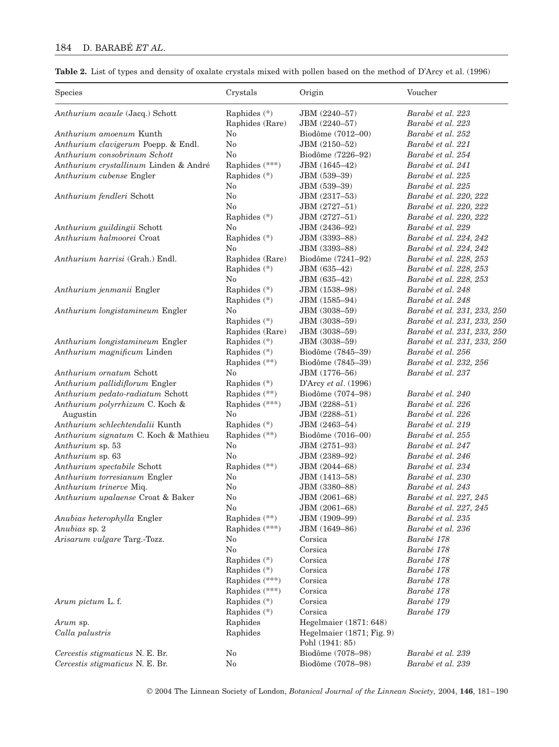|  |  |  | Table 2. List of types and density of oxalate crystals mixed with pollen based on the method of D'Arcy et al. (1996) |
|--|--|--|----------------------------------------------------------------------------------------------------------------------|
|  |  |  |                                                                                                                      |

| Species                                | Crystals        | Origin                    | Voucher                     |
|----------------------------------------|-----------------|---------------------------|-----------------------------|
| Anthurium acaule (Jacq.) Schott        | Raphides (*)    | JBM (2240-57)             | Barabé et al. 223           |
|                                        | Raphides (Rare) | JBM (2240-57)             | Barabé et al. 223           |
| <i>Anthurium amoenum Kunth</i>         | $\rm No$        | Biodôme (7012-00)         | Barabé et al. 252           |
| Anthurium clavigerum Poepp. & Endl.    | N <sub>0</sub>  | JBM (2150-52)             | Barabé et al. 221           |
| Anthurium consobrinum Schott           | N <sub>0</sub>  | Biodôme (7226-92)         | Barabé et al. 254           |
| Anthurium crystallinum Linden & André  | Raphides (***)  | JBM (1645-42)             | Barabé et al. 241           |
| Anthurium cubense Engler               | Raphides (*)    | JBM (539-39)              | Barabé et al. 225           |
|                                        | $\rm No$        | JBM (539-39)              | Barabé et al. 225           |
| Anthurium fendleri Schott              | N <sub>0</sub>  | JBM (2317-53)             | Barabé et al. 220, 222      |
|                                        | $\rm No$        | JBM (2727-51)             | Barabé et al. 220, 222      |
|                                        | Raphides (*)    | JBM (2727-51)             | Barabé et al. 220, 222      |
| Anthurium guildingii Schott            | $\rm No$        | JBM (2436-92)             | Barabé et al. 229           |
| Anthurium halmoorei Croat              | Raphides (*)    | JBM (3393-88)             | Barabé et al. 224, 242      |
|                                        | $\rm No$        | JBM (3393-88)             | Barabé et al. 224, 242      |
| <i>Anthurium harrisi</i> (Grah.) Endl. | Raphides (Rare) | Biodôme (7241-92)         | Barabé et al. 228, 253      |
|                                        | Raphides (*)    | JBM (635-42)              | Barabé et al. 228, 253      |
|                                        | $\rm No$        | JBM (635-42)              | Barabé et al. 228, 253      |
| Anthurium jenmanii Engler              | Raphides (*)    | JBM (1538-98)             | Barabé et al. 248           |
|                                        | Raphides (*)    | JBM (1585-94)             | Barabé et al. 248           |
| Anthurium longistamineum Engler        | $\rm No$        | JBM (3038-59)             | Barabé et al. 231, 233, 250 |
|                                        | Raphides (*)    | JBM (3038-59)             | Barabé et al. 231, 233, 250 |
|                                        | Raphides (Rare) | JBM (3038-59)             | Barabé et al. 231, 233, 250 |
| Anthurium longistamineum Engler        | Raphides (*)    | JBM (3038-59)             | Barabé et al. 231, 233, 250 |
| Anthurium magnificum Linden            | Raphides (*)    | Biodôme (7845-39)         | Barabé et al. 256           |
|                                        | Raphides (**)   | Biodôme (7845-39)         | Barabé et al. 232, 256      |
| Anthurium ornatum Schott               | $\rm No$        | JBM (1776-56)             | Barabé et al. 237           |
| Anthurium pallidiflorum Engler         | Raphides (*)    | D'Arcy et al. (1996)      |                             |
| Anthurium pedato-radiatum Schott       | Raphides (**)   | Biodôme (7074-98)         | Barabé et al. 240           |
| Anthurium polyrrhizum C. Koch &        | Raphides (***)  | JBM (2288-51)             | Barabé et al. 226           |
| Augustin                               | $\rm No$        | JBM (2288-51)             | Barabé et al. 226           |
| Anthurium schlechtendalii Kunth        | Raphides (*)    | JBM (2463-54)             | Barabé et al. 219           |
| Anthurium signatum C. Koch & Mathieu   | Raphides (**)   | Biodôme (7016-00)         | Barabé et al. 255           |
| Anthurium sp. 53                       | N <sub>0</sub>  | JBM (2751-93)             | Barabé et al. 247           |
| Anthurium sp. 63                       | N <sub>0</sub>  | JBM (2389-92)             | Barabé et al. 246           |
| Anthurium spectabile Schott            | Raphides (**)   | JBM (2044-68)             | Barabé et al. 234           |
| Anthurium torresianum Engler           | No              | JBM (1413-58)             | Barabé et al. 230           |
| Anthurium trinerve Miq.                | N <sub>0</sub>  | JBM (3380-88)             | Barabé et al. 243           |
| Anthurium upalaense Croat & Baker      | N <sub>0</sub>  | JBM (2061-68)             | Barabé et al. 227, 245      |
|                                        | $\rm No$        | JBM (2061-68)             | Barabé et al. 227, 245      |
| Anubias heterophylla Engler            | Raphides (**)   | JBM (1909-99)             | Barabé et al. 235           |
| Anubias sp. 2                          | Raphides (***)  | JBM (1649-86)             | Barabé et al. 236           |
| Arisarum vulgare Targ.-Tozz.           | $\rm No$        | Corsica                   | Barabé 178                  |
|                                        | $\rm No$        | Corsica                   | Barabé 178                  |
|                                        | Raphides (*)    | Corsica                   | Barabé 178                  |
|                                        | Raphides $(*)$  | Corsica                   | Barabé 178                  |
|                                        | Raphides (***)  | Corsica                   | Barabé 178                  |
|                                        | Raphides (***)  | Corsica                   | Barabé 178                  |
| Arum pictum L.f.                       | Raphides (*)    | Corsica                   | Barabé 179                  |
|                                        | Raphides (*)    | Corsica                   | Barabé 179                  |
| Arum sp.                               | Raphides        | Hegelmaier (1871: 648)    |                             |
| Calla palustris                        | Raphides        | Hegelmaier (1871; Fig. 9) |                             |
|                                        |                 | Pohl (1941: 85)           |                             |
| Cercestis stigmaticus N. E. Br.        | $\rm No$        | Biodôme (7078-98)         | Barabé et al. 239           |
| Cercestis stigmaticus N. E. Br.        | $\rm No$        | Biodôme (7078-98)         | Barabé et al. 239           |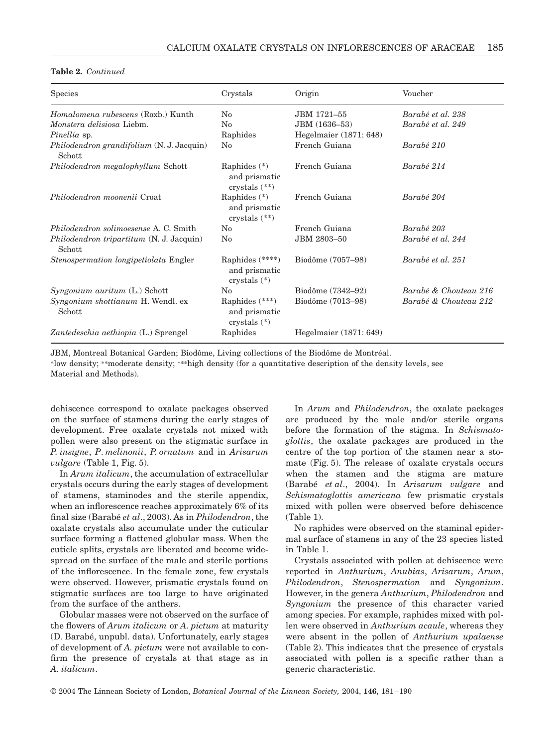## **Table 2.** *Continued*

| <b>Species</b>                                             | Crystals                                             | Origin                  | Voucher               |
|------------------------------------------------------------|------------------------------------------------------|-------------------------|-----------------------|
| Homalomena rubescens (Roxb.) Kunth                         | $\rm No$                                             | JBM 1721-55             | Barabé et al. 238     |
| <i>Monstera delisiosa</i> Liebm.                           | $\rm No$                                             | JBM (1636-53)           | Barabé et al. 249     |
| Pinellia sp.                                               | Raphides                                             | Hegelmaier (1871: 648)  |                       |
| <i>Philodendron grandifolium</i> (N. J. Jacquin)<br>Schott | $\rm No$                                             | French Guiana           | Barabé 210            |
| Philodendron megalophyllum Schott                          | Raphides $(*)$<br>and prismatic<br>crystals $(**)$   | French Guiana           | Barabé 214            |
| <i>Philodendron moonenii</i> Croat                         | Raphides $(*)$<br>and prismatic<br>crystals $(**)$   | French Guiana           | Barabé 204            |
| <i>Philodendron solimoesense A. C. Smith</i>               | $\rm No$                                             | French Guiana           | Barabé 203            |
| <i>Philodendron tripartitum</i> (N. J. Jacquin)<br>Schott  | $\rm No$                                             | <b>JBM 2803-50</b>      | Barabé et al. 244     |
| Stenospermation longipetiolata Engler                      | Raphides $(****)$<br>and prismatic<br>crystals $(*)$ | Biodôme (7057-98)       | Barabé et al. 251     |
| Syngonium auritum (L.) Schott                              | $\rm No$                                             | Biodôme (7342-92)       | Barabé & Chouteau 216 |
| Syngonium shottianum H. Wendl. ex<br>Schott                | Raphides (***)<br>and prismatic<br>crystals $(*)$    | Biodôme (7013-98)       | Barabé & Chouteau 212 |
| Zantedeschia aethiopia (L.) Sprengel                       | Raphides                                             | Hegelmaier $(1871:649)$ |                       |

JBM, Montreal Botanical Garden; Biodôme, Living collections of the Biodôme de Montréal.

\*low density; \*\*moderate density; \*\*\*high density (for a quantitative description of the density levels, see Material and Methods).

dehiscence correspond to oxalate packages observed on the surface of stamens during the early stages of development. Free oxalate crystals not mixed with pollen were also present on the stigmatic surface in *P. insigne*, *P*. *melinonii*, *P. ornatum* and in *Arisarum vulgare* (Table 1, Fig. 5).

In *Arum italicum*, the accumulation of extracellular crystals occurs during the early stages of development of stamens, staminodes and the sterile appendix, when an inflorescence reaches approximately 6% of its final size (Barabé *et al*., 2003). As in *Philodendron*, the oxalate crystals also accumulate under the cuticular surface forming a flattened globular mass. When the cuticle splits, crystals are liberated and become widespread on the surface of the male and sterile portions of the inflorescence. In the female zone, few crystals were observed. However, prismatic crystals found on stigmatic surfaces are too large to have originated from the surface of the anthers.

Globular masses were not observed on the surface of the flowers of *Arum italicum* or *A. pictum* at maturity (D. Barabé, unpubl. data). Unfortunately, early stages of development of *A. pictum* were not available to confirm the presence of crystals at that stage as in *A. italicum*.

In *Arum* and *Philodendron*, the oxalate packages are produced by the male and/or sterile organs before the formation of the stigma. In *Schismatoglottis*, the oxalate packages are produced in the centre of the top portion of the stamen near a stomate (Fig. 5). The release of oxalate crystals occurs when the stamen and the stigma are mature (Barabé *et al*., 2004). In *Arisarum vulgare* and *Schismatoglottis americana* few prismatic crystals mixed with pollen were observed before dehiscence (Table 1).

No raphides were observed on the staminal epidermal surface of stamens in any of the 23 species listed in Table 1.

Crystals associated with pollen at dehiscence were reported in *Anthurium*, *Anubias*, *Arisarum*, *Arum*, *Philodendron*, *Stenospermation* and *Syngonium*. However, in the genera *Anthurium*, *Philodendron* and *Syngonium* the presence of this character varied among species. For example, raphides mixed with pollen were observed in *Anthurium acaule*, whereas they were absent in the pollen of *Anthurium upalaense* (Table 2). This indicates that the presence of crystals associated with pollen is a specific rather than a generic characteristic.

© 2004 The Linnean Society of London, *Botanical Journal of the Linnean Society,* 2004, **146**, 181–190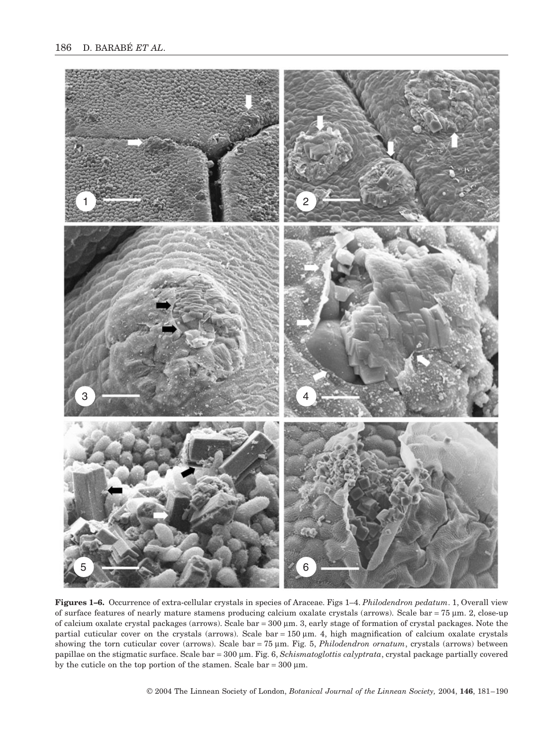

**Figures 1–6.** Occurrence of extra-cellular crystals in species of Araceae. Figs 1–4. *Philodendron pedatum*. 1, Overall view of surface features of nearly mature stamens producing calcium oxalate crystals (arrows). Scale bar = 75  $\mu$ m. 2, close-up of calcium oxalate crystal packages (arrows). Scale bar =  $300 \mu$ m. 3, early stage of formation of crystal packages. Note the partial cuticular cover on the crystals (arrows). Scale bar =  $150 \mu m$ . 4, high magnification of calcium oxalate crystals showing the torn cuticular cover (arrows). Scale bar = 75  $\mu$ m. Fig. 5, *Philodendron ornatum*, crystals (arrows) between papillae on the stigmatic surface. Scale bar = 300 µm. Fig. 6, *Schismatoglottis calyptrata*, crystal package partially covered by the cuticle on the top portion of the stamen. Scale bar =  $300 \mu m$ .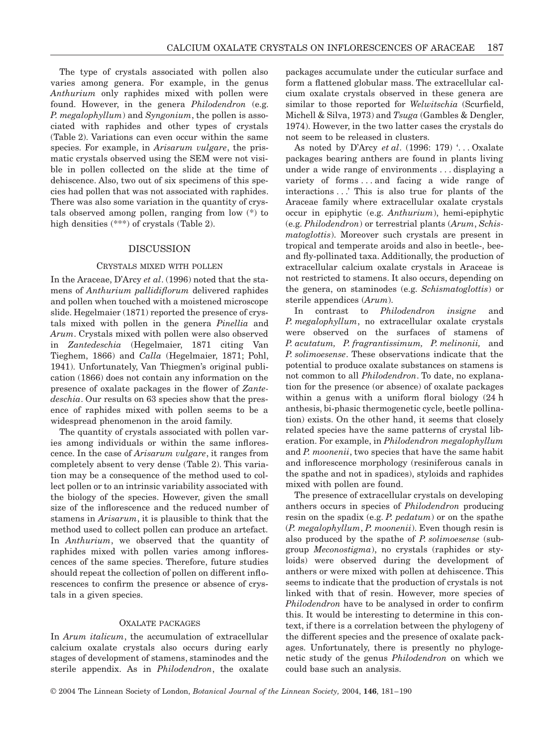The type of crystals associated with pollen also varies among genera. For example, in the genus *Anthurium* only raphides mixed with pollen were found. However, in the genera *Philodendron* (e.g. *P. megalophyllum*) and *Syngonium*, the pollen is associated with raphides and other types of crystals (Table 2). Variations can even occur within the same species. For example, in *Arisarum vulgare*, the prismatic crystals observed using the SEM were not visible in pollen collected on the slide at the time of dehiscence. Also, two out of six specimens of this species had pollen that was not associated with raphides. There was also some variation in the quantity of crystals observed among pollen, ranging from low (\*) to high densities (\*\*\*) of crystals (Table 2).

#### **DISCUSSION**

#### CRYSTALS MIXED WITH POLLEN

In the Araceae, D'Arcy *et al*. (1996) noted that the stamens of *Anthurium pallidiflorum* delivered raphides and pollen when touched with a moistened microscope slide. Hegelmaier (1871) reported the presence of crystals mixed with pollen in the genera *Pinellia* and *Arum*. Crystals mixed with pollen were also observed in *Zantedeschia* (Hegelmaier, 1871 citing Van Tieghem, 1866) and *Calla* (Hegelmaier, 1871; Pohl, 1941). Unfortunately, Van Thiegmen's original publication (1866) does not contain any information on the presence of oxalate packages in the flower of *Zantedeschia*. Our results on 63 species show that the presence of raphides mixed with pollen seems to be a widespread phenomenon in the aroid family.

The quantity of crystals associated with pollen varies among individuals or within the same inflorescence. In the case of *Arisarum vulgare*, it ranges from completely absent to very dense (Table 2). This variation may be a consequence of the method used to collect pollen or to an intrinsic variability associated with the biology of the species. However, given the small size of the inflorescence and the reduced number of stamens in *Arisarum*, it is plausible to think that the method used to collect pollen can produce an artefact. In *Anthurium*, we observed that the quantity of raphides mixed with pollen varies among inflorescences of the same species. Therefore, future studies should repeat the collection of pollen on different inflorescences to confirm the presence or absence of crystals in a given species.

## OXALATE PACKAGES

In *Arum italicum*, the accumulation of extracellular calcium oxalate crystals also occurs during early stages of development of stamens, staminodes and the sterile appendix. As in *Philodendron*, the oxalate packages accumulate under the cuticular surface and form a flattened globular mass. The extracellular calcium oxalate crystals observed in these genera are similar to those reported for *Welwitschia* (Scurfield, Michell & Silva, 1973) and *Tsuga* (Gambles & Dengler, 1974). However, in the two latter cases the crystals do not seem to be released in clusters.

As noted by D'Arcy *et al.* (1996: 179) '... Oxalate packages bearing anthers are found in plants living under a wide range of environments . . . displaying a variety of forms . . . and facing a wide range of interactions . . .' This is also true for plants of the Araceae family where extracellular oxalate crystals occur in epiphytic (e.g. *Anthurium*), hemi-epiphytic (e.g. *Philodendron*) or terrestrial plants (*Arum*, *Schismatoglottis*). Moreover such crystals are present in tropical and temperate aroids and also in beetle-, beeand fly-pollinated taxa. Additionally, the production of extracellular calcium oxalate crystals in Araceae is not restricted to stamens. It also occurs, depending on the genera, on staminodes (e.g. *Schismatoglottis*) or sterile appendices (*Arum*).

In contrast to *Philodendron insigne* and *P. megalophyllum*, no extracellular oxalate crystals were observed on the surfaces of stamens of *P. acutatum, P. fragrantissimum, P. melinonii,* and *P. solimoesense*. These observations indicate that the potential to produce oxalate substances on stamens is not common to all *Philodendron*. To date, no explanation for the presence (or absence) of oxalate packages within a genus with a uniform floral biology (24 h anthesis, bi-phasic thermogenetic cycle, beetle pollination) exists. On the other hand, it seems that closely related species have the same patterns of crystal liberation. For example, in *Philodendron megalophyllum* and *P. moonenii*, two species that have the same habit and inflorescence morphology (resiniferous canals in the spathe and not in spadices), styloids and raphides mixed with pollen are found.

The presence of extracellular crystals on developing anthers occurs in species of *Philodendron* producing resin on the spadix (e.g. *P. pedatum*) or on the spathe (*P. megalophyllum*, *P. moonenii*). Even though resin is also produced by the spathe of *P. solimoesense* (subgroup *Meconostigma*), no crystals (raphides or styloids) were observed during the development of anthers or were mixed with pollen at dehiscence. This seems to indicate that the production of crystals is not linked with that of resin. However, more species of *Philodendron* have to be analysed in order to confirm this. It would be interesting to determine in this context, if there is a correlation between the phylogeny of the different species and the presence of oxalate packages. Unfortunately, there is presently no phylogenetic study of the genus *Philodendron* on which we could base such an analysis.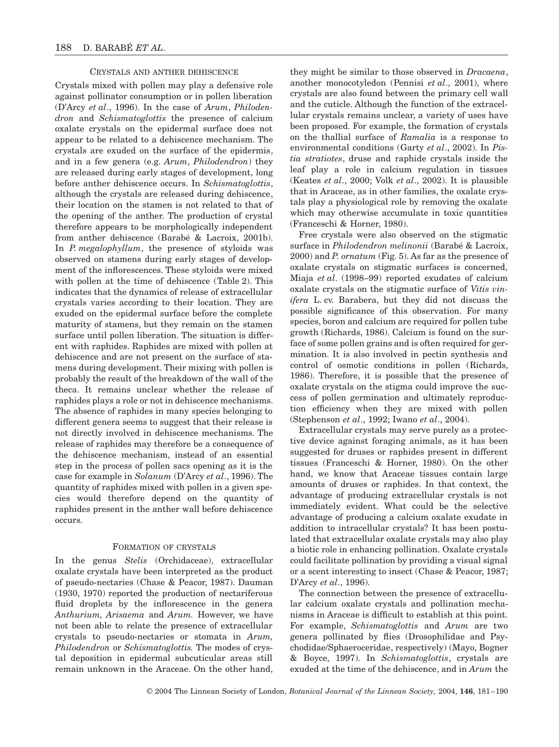## CRYSTALS AND ANTHER DEHISCENCE

Crystals mixed with pollen may play a defensive role against pollinator consumption or in pollen liberation (D'Arcy *et al*., 1996). In the case of *Arum*, *Philodendron* and *Schismatoglottis* the presence of calcium oxalate crystals on the epidermal surface does not appear to be related to a dehiscence mechanism. The crystals are exuded on the surface of the epidermis, and in a few genera (e.g. *Arum*, *Philodendron*) they are released during early stages of development, long before anther dehiscence occurs. In *Schismatoglottis*, although the crystals are released during dehiscence, their location on the stamen is not related to that of the opening of the anther. The production of crystal therefore appears to be morphologically independent from anther dehiscence (Barabé & Lacroix, 2001b). In *P. megalophyllum*, the presence of styloids was observed on stamens during early stages of development of the inflorescences. These styloids were mixed with pollen at the time of dehiscence (Table 2). This indicates that the dynamics of release of extracellular crystals varies according to their location. They are exuded on the epidermal surface before the complete maturity of stamens, but they remain on the stamen surface until pollen liberation. The situation is different with raphides. Raphides are mixed with pollen at dehiscence and are not present on the surface of stamens during development. Their mixing with pollen is probably the result of the breakdown of the wall of the theca. It remains unclear whether the release of raphides plays a role or not in dehiscence mechanisms. The absence of raphides in many species belonging to different genera seems to suggest that their release is not directly involved in dehiscence mechanisms. The release of raphides may therefore be a consequence of the dehiscence mechanism, instead of an essential step in the process of pollen sacs opening as it is the case for example in *Solanum* (D'Arcy *et al*., 1996). The quantity of raphides mixed with pollen in a given species would therefore depend on the quantity of raphides present in the anther wall before dehiscence occurs.

## FORMATION OF CRYSTALS

In the genus *Stelis* (Orchidaceae), extracellular oxalate crystals have been interpreted as the product of pseudo-nectaries (Chase & Peacor, 1987). Dauman (1930, 1970) reported the production of nectariferous fluid droplets by the inflorescence in the genera *Anthurium, Arisaema* and *Arum.* However, we have not been able to relate the presence of extracellular crystals to pseudo-nectaries or stomata in *Arum, Philodendron* or *Schismatoglottis.* The modes of crystal deposition in epidermal subcuticular areas still remain unknown in the Araceae. On the other hand,

they might be similar to those observed in *Dracaena*, another monocotyledon (Pennisi *et al*., 2001), where crystals are also found between the primary cell wall and the cuticle. Although the function of the extracellular crystals remains unclear, a variety of uses have been proposed. For example, the formation of crystals on the thallial surface of *Ramalia* is a response to environmental conditions (Garty *et al*., 2002). In *Pistia stratiotes*, druse and raphide crystals inside the leaf play a role in calcium regulation in tissues (Keates *et al*., 2000; Volk *et al*., 2002). It is plausible that in Araceae, as in other families, the oxalate crystals play a physiological role by removing the oxalate which may otherwise accumulate in toxic quantities (Franceschi & Horner, 1980).

Free crystals were also observed on the stigmatic surface in *Philodendron melinonii* (Barabé & Lacroix, 2000) and *P. ornatum* (Fig. 5). As far as the presence of oxalate crystals on stigmatic surfaces is concerned, Miaja *et al*. (1998–99) reported exudates of calcium oxalate crystals on the stigmatic surface of *Vitis vinifera* L. cv. Barabera, but they did not discuss the possible significance of this observation. For many species, boron and calcium are required for pollen tube growth (Richards, 1986). Calcium is found on the surface of some pollen grains and is often required for germination. It is also involved in pectin synthesis and control of osmotic conditions in pollen (Richards, 1986). Therefore, it is possible that the presence of oxalate crystals on the stigma could improve the success of pollen germination and ultimately reproduction efficiency when they are mixed with pollen (Stephenson *et al*., 1992; Iwano *et al*., 2004).

Extracellular crystals may serve purely as a protective device against foraging animals, as it has been suggested for druses or raphides present in different tissues (Franceschi & Horner, 1980). On the other hand, we know that Araceae tissues contain large amounts of druses or raphides. In that context, the advantage of producing extracellular crystals is not immediately evident. What could be the selective advantage of producing a calcium oxalate exudate in addition to intracellular crystals? It has been postulated that extracellular oxalate crystals may also play a biotic role in enhancing pollination. Oxalate crystals could facilitate pollination by providing a visual signal or a scent interesting to insect (Chase & Peacor, 1987; D'Arcy *et al*., 1996).

The connection between the presence of extracellular calcium oxalate crystals and pollination mechanisms in Araceae is difficult to establish at this point. For example, *Schismatoglottis* and *Arum* are two genera pollinated by flies (Drosophilidae and Psychodidae/Sphaeroceridae, respectively) (Mayo, Bogner & Boyce, 1997). In *Schismatoglottis*, crystals are exuded at the time of the dehiscence, and in *Arum* the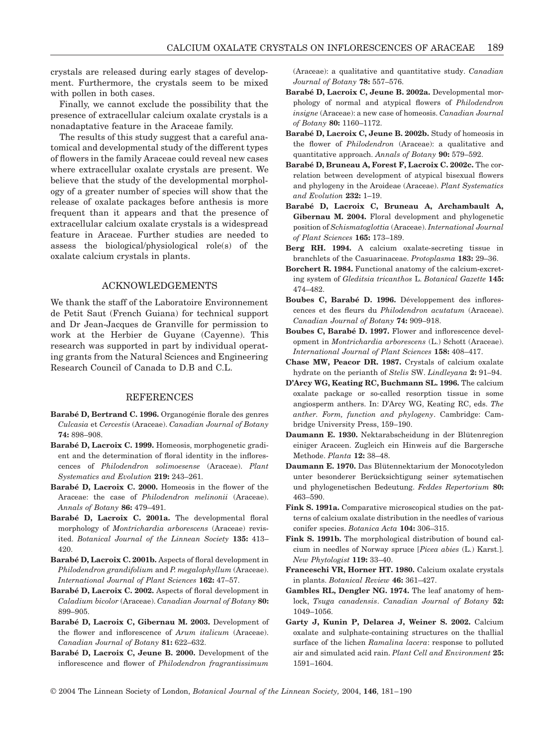crystals are released during early stages of development. Furthermore, the crystals seem to be mixed with pollen in both cases.

Finally, we cannot exclude the possibility that the presence of extracellular calcium oxalate crystals is a nonadaptative feature in the Araceae family.

The results of this study suggest that a careful anatomical and developmental study of the different types of flowers in the family Araceae could reveal new cases where extracellular oxalate crystals are present. We believe that the study of the developmental morphology of a greater number of species will show that the release of oxalate packages before anthesis is more frequent than it appears and that the presence of extracellular calcium oxalate crystals is a widespread feature in Araceae. Further studies are needed to assess the biological/physiological role(s) of the oxalate calcium crystals in plants.

## ACKNOWLEDGEMENTS

We thank the staff of the Laboratoire Environnement de Petit Saut (French Guiana) for technical support and Dr Jean-Jacques de Granville for permission to work at the Herbier de Guyane (Cayenne). This research was supported in part by individual operating grants from the Natural Sciences and Engineering Research Council of Canada to D.B and C.L.

## REFERENCES

- **Barabé D, Bertrand C. 1996.** Organogénie florale des genres *Culcasia* et *Cercestis* (Araceae). *Canadian Journal of Botany* **74:** 898–908.
- **Barabé D, Lacroix C. 1999.** Homeosis, morphogenetic gradient and the determination of floral identity in the inflorescences of *Philodendron solimoesense* (Araceae). *Plant Systematics and Evolution* **219:** 243–261.
- **Barabé D, Lacroix C. 2000.** Homeosis in the flower of the Araceae: the case of *Philodendron melinonii* (Araceae). *Annals of Botany* **86:** 479–491.
- Barabé D. Lacroix C. 2001a. The developmental floral morphology of *Montrichardia arborescens* (Araceae) revisited. *Botanical Journal of the Linnean Society* **135:** 413– 420.
- **Barabé D, Lacroix C. 2001b.** Aspects of floral development in *Philodendron grandifolium* and *P. megalophyllum* (Araceae). *International Journal of Plant Sciences* **162:** 47–57.
- **Barabé D, Lacroix C. 2002.** Aspects of floral development in *Caladium bicolor* (Araceae). *Canadian Journal of Botany* **80:** 899–905.
- **Barabé D, Lacroix C, Gibernau M. 2003.** Development of the flower and inflorescence of *Arum italicum* (Araceae). *Canadian Journal of Botany* **81:** 622–632.
- **Barabé D, Lacroix C, Jeune B. 2000.** Development of the inflorescence and flower of *Philodendron fragrantissimum*

(Araceae): a qualitative and quantitative study. *Canadian Journal of Botany* **78:** 557–576.

- **Barabé D, Lacroix C, Jeune B. 2002a.** Developmental morphology of normal and atypical flowers of *Philodendron insigne* (Araceae): a new case of homeosis. *Canadian Journal of Botany* **80:** 1160–1172.
- **Barabé D, Lacroix C, Jeune B. 2002b.** Study of homeosis in the flower of *Philodendron* (Araceae): a qualitative and quantitative approach. *Annals of Botany* **90:** 579–592.
- **Barabé D, Bruneau A, Forest F, Lacroix C. 2002c.** The correlation between development of atypical bisexual flowers and phylogeny in the Aroideae (Araceae). *Plant Systematics and Evolution* **232:** 1–19.
- **Barabé D, Lacroix C, Bruneau A, Archambault A, Gibernau M. 2004.** Floral development and phylogenetic position of *Schismatoglottia* (Araceae). *International Journal of Plant Sciences* **165:** 173–189.
- **Berg RH. 1994.** A calcium oxalate-secreting tissue in branchlets of the Casuarinaceae. *Protoplasma* **183:** 29–36.
- **Borchert R. 1984.** Functional anatomy of the calcium-excreting system of *Gleditsia tricanthos* L. *Botanical Gazette* **145:** 474–482.
- **Boubes C, Barabé D. 1996.** Développement des inflorescences et des fleurs du *Philodendron acutatum* (Araceae). *Canadian Journal of Botany* **74:** 909–918.
- **Boubes C, Barabé D. 1997.** Flower and inflorescence development in *Montrichardia arborescens* (L.) Schott (Araceae). *International Journal of Plant Sciences* **158:** 408–417.
- **Chase MW, Peacor DR. 1987.** Crystals of calcium oxalate hydrate on the perianth of *Stelis* SW. *Lindleyana* **2:** 91–94.
- **D'Arcy WG, Keating RC, Buchmann SL. 1996.** The calcium oxalate package or so-called resorption tissue in some angiosperm anthers. In: D'Arcy WG, Keating RC, eds. *The anther. Form, function and phylogeny*. Cambridge: Cambridge University Press, 159–190.
- **Daumann E. 1930.** Nektarabscheidung in der Blütenregion einiger Araceen. Zugleich ein Hinweis auf die Bargersche Methode. *Planta* **12:** 38–48.
- **Daumann E. 1970.** Das Blütennektarium der Monocotyledon unter besonderer Berücksichtigung seiner sytematischen und phylogenetischen Bedeutung. *Feddes Repertorium* **80:** 463–590.
- **Fink S. 1991a.** Comparative microscopical studies on the patterns of calcium oxalate distribution in the needles of various conifer species. *Botanica Acta* **104:** 306–315.
- **Fink S. 1991b.** The morphological distribution of bound calcium in needles of Norway spruce [*Picea abies* (L.) Karst.]. *New Phytologist* **119:** 33–40.
- **Franceschi VR, Horner HT. 1980.** Calcium oxalate crystals in plants. *Botanical Review* **46:** 361–427.
- **Gambles RL, Dengler NG. 1974.** The leaf anatomy of hemlock, *Tsuga canadensis*. *Canadian Journal of Botany* **52:** 1049–1056.
- **Garty J, Kunin P, Delarea J, Weiner S. 2002.** Calcium oxalate and sulphate-containing structures on the thallial surface of the lichen *Ramalina lacera*: response to polluted air and simulated acid rain. *Plant Cell and Environment* **25:** 1591–1604.
- © 2004 The Linnean Society of London, *Botanical Journal of the Linnean Society,* 2004, **146**, 181–190